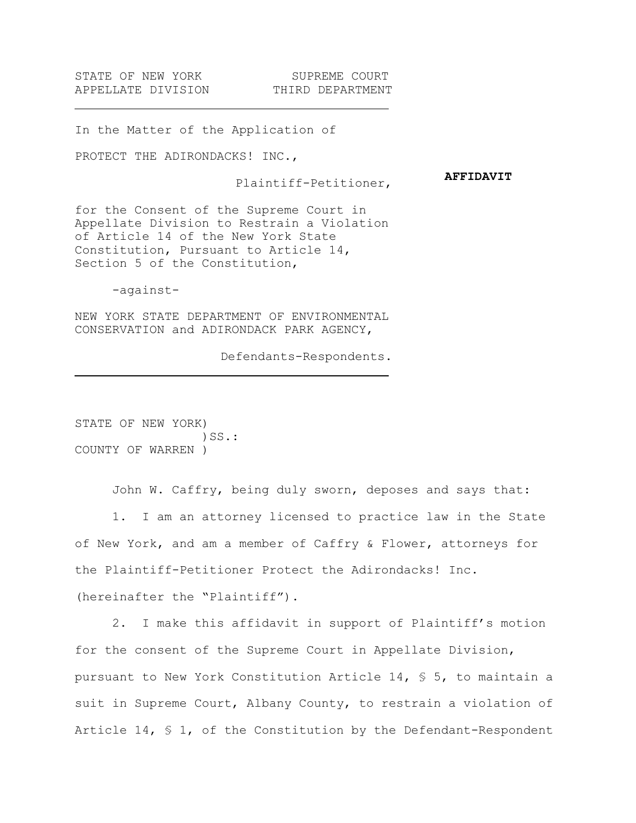STATE OF NEW YORK SUPREME COURT APPELLATE DIVISION THIRD DEPARTMENT

In the Matter of the Application of

PROTECT THE ADIRONDACKS! INC.,

Plaintiff-Petitioner,

 **AFFIDAVIT**

for the Consent of the Supreme Court in Appellate Division to Restrain a Violation of Article 14 of the New York State Constitution, Pursuant to Article 14, Section 5 of the Constitution,

-against-

NEW YORK STATE DEPARTMENT OF ENVIRONMENTAL CONSERVATION and ADIRONDACK PARK AGENCY,

Defendants-Respondents.

STATE OF NEW YORK)  $)$  SS.: COUNTY OF WARREN )

John W. Caffry, being duly sworn, deposes and says that:

1. I am an attorney licensed to practice law in the State of New York, and am a member of Caffry & Flower, attorneys for the Plaintiff-Petitioner Protect the Adirondacks! Inc. (hereinafter the "Plaintiff").

2. I make this affidavit in support of Plaintiff's motion for the consent of the Supreme Court in Appellate Division, pursuant to New York Constitution Article 14, § 5, to maintain a suit in Supreme Court, Albany County, to restrain a violation of Article 14, § 1, of the Constitution by the Defendant-Respondent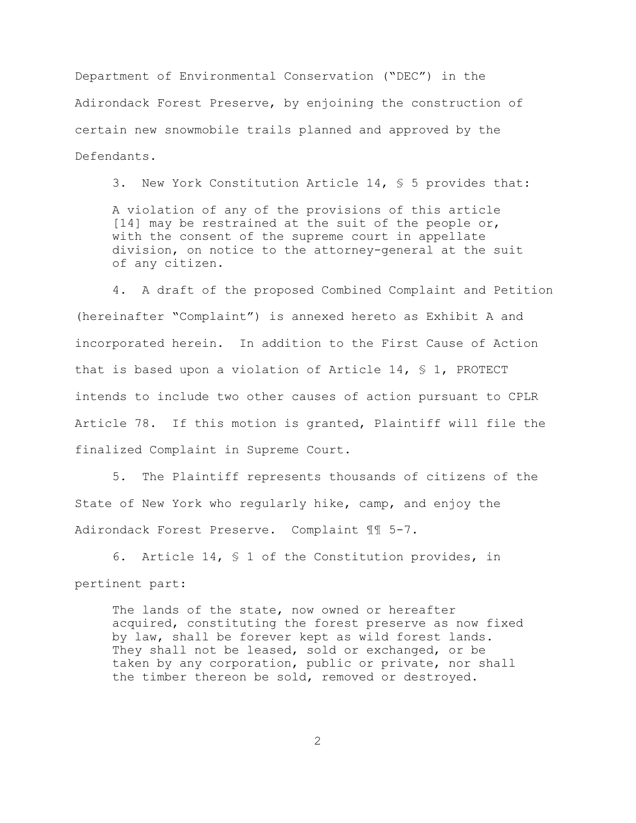Department of Environmental Conservation ("DEC") in the Adirondack Forest Preserve, by enjoining the construction of certain new snowmobile trails planned and approved by the Defendants.

3. New York Constitution Article 14, § 5 provides that:

A violation of any of the provisions of this article [14] may be restrained at the suit of the people or, with the consent of the supreme court in appellate division, on notice to the attorney-general at the suit of any citizen.

4. A draft of the proposed Combined Complaint and Petition (hereinafter "Complaint") is annexed hereto as Exhibit A and incorporated herein. In addition to the First Cause of Action that is based upon a violation of Article 14, § 1, PROTECT intends to include two other causes of action pursuant to CPLR Article 78. If this motion is granted, Plaintiff will file the finalized Complaint in Supreme Court.

5. The Plaintiff represents thousands of citizens of the State of New York who regularly hike, camp, and enjoy the Adirondack Forest Preserve. Complaint ¶¶ 5-7.

6. Article 14, § 1 of the Constitution provides, in pertinent part:

The lands of the state, now owned or hereafter acquired, constituting the forest preserve as now fixed by law, shall be forever kept as wild forest lands. They shall not be leased, sold or exchanged, or be taken by any corporation, public or private, nor shall the timber thereon be sold, removed or destroyed.

2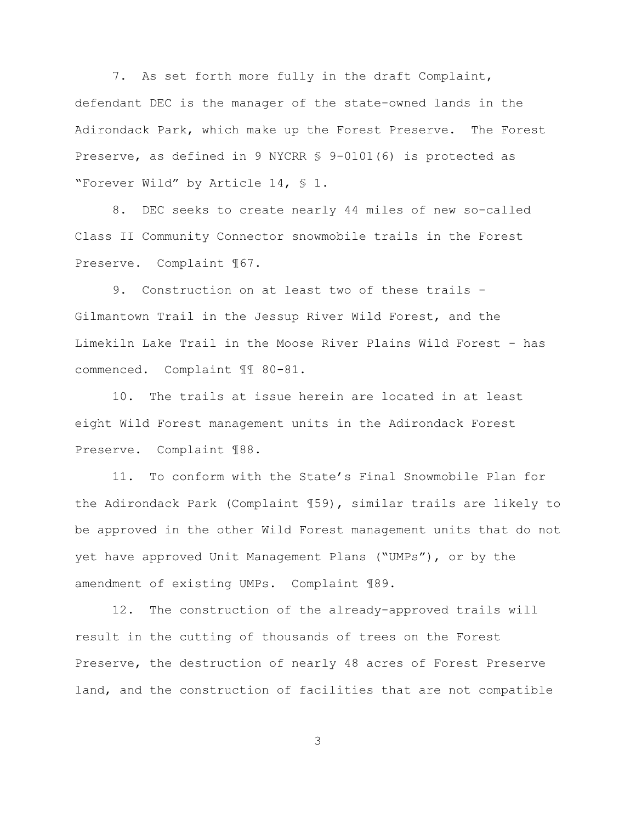7. As set forth more fully in the draft Complaint, defendant DEC is the manager of the state-owned lands in the Adirondack Park, which make up the Forest Preserve. The Forest Preserve, as defined in 9 NYCRR § 9-0101(6) is protected as "Forever Wild" by Article 14, § 1.

8. DEC seeks to create nearly 44 miles of new so-called Class II Community Connector snowmobile trails in the Forest Preserve. Complaint ¶67.

9. Construction on at least two of these trails - Gilmantown Trail in the Jessup River Wild Forest, and the Limekiln Lake Trail in the Moose River Plains Wild Forest - has commenced. Complaint ¶¶ 80-81.

10. The trails at issue herein are located in at least eight Wild Forest management units in the Adirondack Forest Preserve. Complaint ¶88.

11. To conform with the State's Final Snowmobile Plan for the Adirondack Park (Complaint ¶59), similar trails are likely to be approved in the other Wild Forest management units that do not yet have approved Unit Management Plans ("UMPs"), or by the amendment of existing UMPs. Complaint ¶89.

12. The construction of the already-approved trails will result in the cutting of thousands of trees on the Forest Preserve, the destruction of nearly 48 acres of Forest Preserve land, and the construction of facilities that are not compatible

3